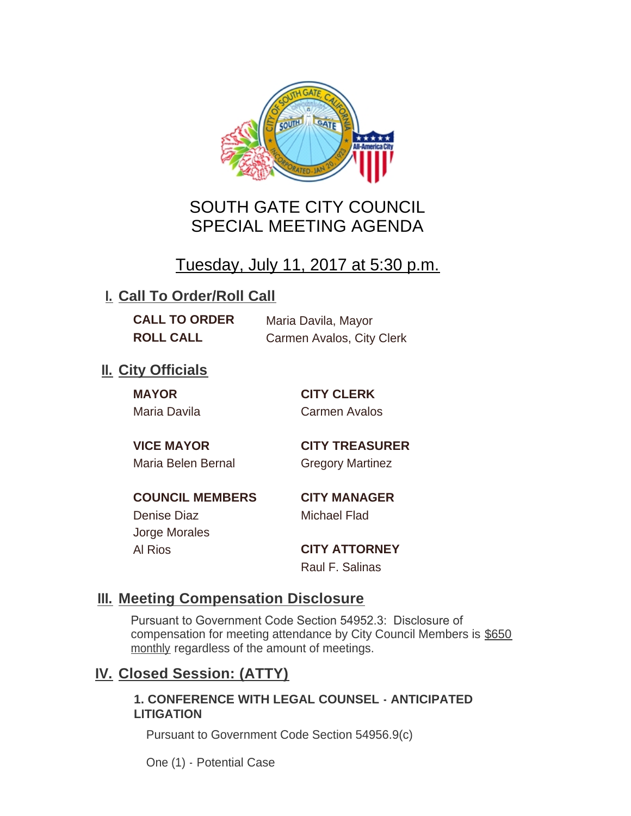

# SOUTH GATE CITY COUNCIL SPECIAL MEETING AGENDA

# Tuesday, July 11, 2017 at 5:30 p.m.

# **I. Call To Order/Roll Call**

**CALL TO ORDER** Maria Davila, Mayor

**ROLL CALL** Carmen Avalos, City Clerk

# **II.** City Officials

**MAYOR CITY CLERK**

Maria Davila Carmen Avalos

Maria Belen Bernal **Gregory Martinez** 

**VICE MAYOR CITY TREASURER**

**COUNCIL MEMBERS CITY MANAGER** Denise Diaz Michael Flad

Jorge Morales

Al Rios **CITY ATTORNEY** Raul F. Salinas

### **Meeting Compensation Disclosure III.**

Pursuant to Government Code Section 54952.3: Disclosure of compensation for meeting attendance by City Council Members is \$650 monthly regardless of the amount of meetings.

### **Closed Session: (ATTY) IV.**

#### **1. CONFERENCE WITH LEGAL COUNSEL - ANTICIPATED LITIGATION**

Pursuant to Government Code Section 54956.9(c)

One (1) - Potential Case